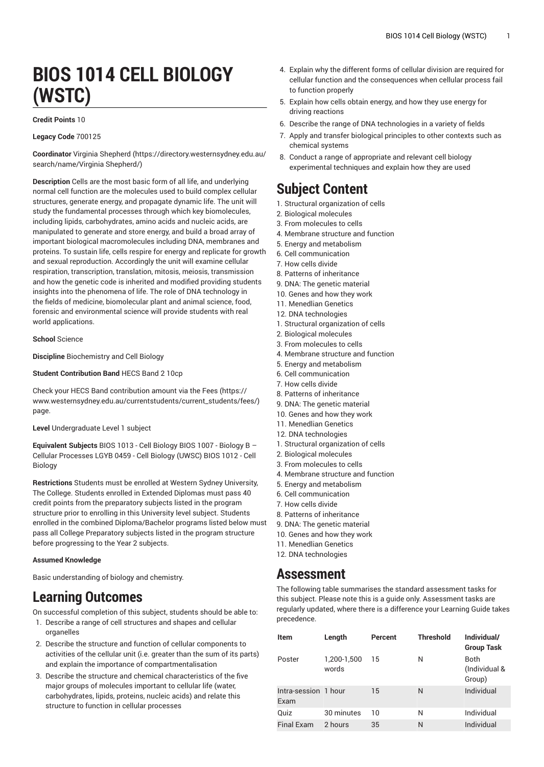# **BIOS 1014 CELL BIOLOGY (WSTC)**

#### **Credit Points** 10

#### **Legacy Code** 700125

**Coordinator** Virginia [Shepherd](https://directory.westernsydney.edu.au/search/name/Virginia Shepherd/) ([https://directory.westernsydney.edu.au/](https://directory.westernsydney.edu.au/search/name/Virginia Shepherd/) [search/name/Virginia](https://directory.westernsydney.edu.au/search/name/Virginia Shepherd/) Shepherd/)

**Description** Cells are the most basic form of all life, and underlying normal cell function are the molecules used to build complex cellular structures, generate energy, and propagate dynamic life. The unit will study the fundamental processes through which key biomolecules, including lipids, carbohydrates, amino acids and nucleic acids, are manipulated to generate and store energy, and build a broad array of important biological macromolecules including DNA, membranes and proteins. To sustain life, cells respire for energy and replicate for growth and sexual reproduction. Accordingly the unit will examine cellular respiration, transcription, translation, mitosis, meiosis, transmission and how the genetic code is inherited and modified providing students insights into the phenomena of life. The role of DNA technology in the fields of medicine, biomolecular plant and animal science, food, forensic and environmental science will provide students with real world applications.

**School** Science

**Discipline** Biochemistry and Cell Biology

**Student Contribution Band** HECS Band 2 10cp

Check your HECS Band contribution amount via the [Fees \(https://](https://www.westernsydney.edu.au/currentstudents/current_students/fees/) [www.westernsydney.edu.au/currentstudents/current\\_students/fees/\)](https://www.westernsydney.edu.au/currentstudents/current_students/fees/) page.

**Level** Undergraduate Level 1 subject

**Equivalent Subjects** BIOS 1013 - Cell Biology BIOS 1007 - Biology B – Cellular Processes LGYB 0459 - Cell Biology (UWSC) [BIOS 1012](/search/?P=BIOS%201012) - Cell Biology

**Restrictions** Students must be enrolled at Western Sydney University, The College. Students enrolled in Extended Diplomas must pass 40 credit points from the preparatory subjects listed in the program structure prior to enrolling in this University level subject. Students enrolled in the combined Diploma/Bachelor programs listed below must pass all College Preparatory subjects listed in the program structure before progressing to the Year 2 subjects.

#### **Assumed Knowledge**

Basic understanding of biology and chemistry.

# **Learning Outcomes**

On successful completion of this subject, students should be able to:

- 1. Describe a range of cell structures and shapes and cellular organelles
- 2. Describe the structure and function of cellular components to activities of the cellular unit (i.e. greater than the sum of its parts) and explain the importance of compartmentalisation
- 3. Describe the structure and chemical characteristics of the five major groups of molecules important to cellular life (water, carbohydrates, lipids, proteins, nucleic acids) and relate this structure to function in cellular processes
- 4. Explain why the different forms of cellular division are required for cellular function and the consequences when cellular process fail to function properly
- 5. Explain how cells obtain energy, and how they use energy for driving reactions
- 6. Describe the range of DNA technologies in a variety of fields
- 7. Apply and transfer biological principles to other contexts such as chemical systems
- 8. Conduct a range of appropriate and relevant cell biology experimental techniques and explain how they are used

# **Subject Content**

- 1. Structural organization of cells
- 2. Biological molecules
- 3. From molecules to cells
- 4. Membrane structure and function
- 5. Energy and metabolism
- 6. Cell communication
- 7. How cells divide
- 8. Patterns of inheritance
- 9. DNA: The genetic material
- 10. Genes and how they work
- 11. Menedlian Genetics 12. DNA technologies
- 1. Structural organization of cells
- 2. Biological molecules
- 3. From molecules to cells
- 4. Membrane structure and function
- 5. Energy and metabolism
- 6. Cell communication
- 7. How cells divide
- 8. Patterns of inheritance
- 9. DNA: The genetic material
- 10. Genes and how they work
- 11. Menedlian Genetics
- 12. DNA technologies
- 1. Structural organization of cells
- 2. Biological molecules
- 3. From molecules to cells 4. Membrane structure and function
- 5. Energy and metabolism
- 6. Cell communication
- 7. How cells divide
- 8. Patterns of inheritance
- 9. DNA: The genetic material
- 10. Genes and how they work
- 11. Menedlian Genetics
- 12. DNA technologies

### **Assessment**

The following table summarises the standard assessment tasks for this subject. Please note this is a guide only. Assessment tasks are regularly updated, where there is a difference your Learning Guide takes precedence.

| Item                         | Length               | Percent | <b>Threshold</b> | Individual/<br><b>Group Task</b>       |
|------------------------------|----------------------|---------|------------------|----------------------------------------|
| Poster                       | 1,200-1,500<br>words | 15      | N                | <b>Both</b><br>(Individual &<br>Group) |
| Intra-session 1 hour<br>Exam |                      | 15      | N                | Individual                             |
| Quiz                         | 30 minutes           | 10      | N                | Individual                             |
| Final Exam                   | 2 hours              | 35      | N                | Individual                             |